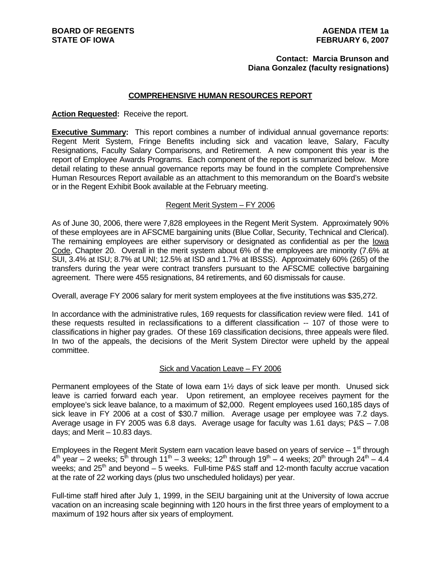#### **Contact: Marcia Brunson and Diana Gonzalez (faculty resignations)**

#### **COMPREHENSIVE HUMAN RESOURCES REPORT**

#### **Action Requested:** Receive the report.

**Executive Summary:** This report combines a number of individual annual governance reports: Regent Merit System, Fringe Benefits including sick and vacation leave, Salary, Faculty Resignations, Faculty Salary Comparisons, and Retirement. A new component this year is the report of Employee Awards Programs. Each component of the report is summarized below. More detail relating to these annual governance reports may be found in the complete Comprehensive Human Resources Report available as an attachment to this memorandum on the Board's website or in the Regent Exhibit Book available at the February meeting.

#### Regent Merit System – FY 2006

As of June 30, 2006, there were 7,828 employees in the Regent Merit System. Approximately 90% of these employees are in AFSCME bargaining units (Blue Collar, Security, Technical and Clerical). The remaining employees are either supervisory or designated as confidential as per the lowa Code, Chapter 20. Overall in the merit system about 6% of the employees are minority (7.6% at SUI, 3.4% at ISU; 8.7% at UNI; 12.5% at ISD and 1.7% at IBSSS). Approximately 60% (265) of the transfers during the year were contract transfers pursuant to the AFSCME collective bargaining agreement. There were 455 resignations, 84 retirements, and 60 dismissals for cause.

Overall, average FY 2006 salary for merit system employees at the five institutions was \$35,272.

In accordance with the administrative rules, 169 requests for classification review were filed. 141 of these requests resulted in reclassifications to a different classification -- 107 of those were to classifications in higher pay grades. Of these 169 classification decisions, three appeals were filed. In two of the appeals, the decisions of the Merit System Director were upheld by the appeal committee.

#### Sick and Vacation Leave – FY 2006

Permanent employees of the State of Iowa earn 1½ days of sick leave per month. Unused sick leave is carried forward each year. Upon retirement, an employee receives payment for the employee's sick leave balance, to a maximum of \$2,000. Regent employees used 160,185 days of sick leave in FY 2006 at a cost of \$30.7 million. Average usage per employee was 7.2 days. Average usage in FY 2005 was 6.8 days. Average usage for faculty was 1.61 days; P&S – 7.08 days; and Merit – 10.83 days.

Employees in the Regent Merit System earn vacation leave based on years of service  $-1<sup>st</sup>$  through  $4<sup>th</sup>$  year – 2 weeks;  $5<sup>th</sup>$  through 11<sup>th</sup> – 3 weeks; 12<sup>th</sup> through 19<sup>th</sup> – 4 weeks; 20<sup>th</sup> through 24<sup>th</sup> – 4.4 weeks; and  $25<sup>th</sup>$  and beyond – 5 weeks. Full-time P&S staff and 12-month faculty accrue vacation at the rate of 22 working days (plus two unscheduled holidays) per year.

Full-time staff hired after July 1, 1999, in the SEIU bargaining unit at the University of Iowa accrue vacation on an increasing scale beginning with 120 hours in the first three years of employment to a maximum of 192 hours after six years of employment.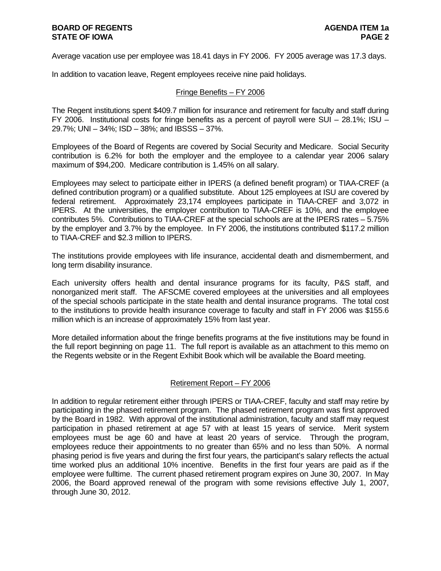Average vacation use per employee was 18.41 days in FY 2006. FY 2005 average was 17.3 days.

In addition to vacation leave, Regent employees receive nine paid holidays.

#### Fringe Benefits – FY 2006

The Regent institutions spent \$409.7 million for insurance and retirement for faculty and staff during FY 2006. Institutional costs for fringe benefits as a percent of payroll were SUI – 28.1%; ISU – 29.7%; UNI – 34%; ISD – 38%; and IBSSS – 37%.

Employees of the Board of Regents are covered by Social Security and Medicare. Social Security contribution is 6.2% for both the employer and the employee to a calendar year 2006 salary maximum of \$94,200. Medicare contribution is 1.45% on all salary.

Employees may select to participate either in IPERS (a defined benefit program) or TIAA-CREF (a defined contribution program) or a qualified substitute. About 125 employees at ISU are covered by federal retirement. Approximately 23,174 employees participate in TIAA-CREF and 3,072 in IPERS. At the universities, the employer contribution to TIAA-CREF is 10%, and the employee contributes 5%. Contributions to TIAA-CREF at the special schools are at the IPERS rates – 5.75% by the employer and 3.7% by the employee. In FY 2006, the institutions contributed \$117.2 million to TIAA-CREF and \$2.3 million to IPERS.

The institutions provide employees with life insurance, accidental death and dismemberment, and long term disability insurance.

Each university offers health and dental insurance programs for its faculty, P&S staff, and nonorganized merit staff. The AFSCME covered employees at the universities and all employees of the special schools participate in the state health and dental insurance programs. The total cost to the institutions to provide health insurance coverage to faculty and staff in FY 2006 was \$155.6 million which is an increase of approximately 15% from last year.

More detailed information about the fringe benefits programs at the five institutions may be found in the full report beginning on page 11. The full report is available as an attachment to this memo on the Regents website or in the Regent Exhibit Book which will be available the Board meeting.

#### Retirement Report – FY 2006

In addition to regular retirement either through IPERS or TIAA-CREF, faculty and staff may retire by participating in the phased retirement program. The phased retirement program was first approved by the Board in 1982. With approval of the institutional administration, faculty and staff may request participation in phased retirement at age 57 with at least 15 years of service. Merit system employees must be age 60 and have at least 20 years of service. Through the program, employees reduce their appointments to no greater than 65% and no less than 50%. A normal phasing period is five years and during the first four years, the participant's salary reflects the actual time worked plus an additional 10% incentive. Benefits in the first four years are paid as if the employee were fulltime. The current phased retirement program expires on June 30, 2007. In May 2006, the Board approved renewal of the program with some revisions effective July 1, 2007, through June 30, 2012.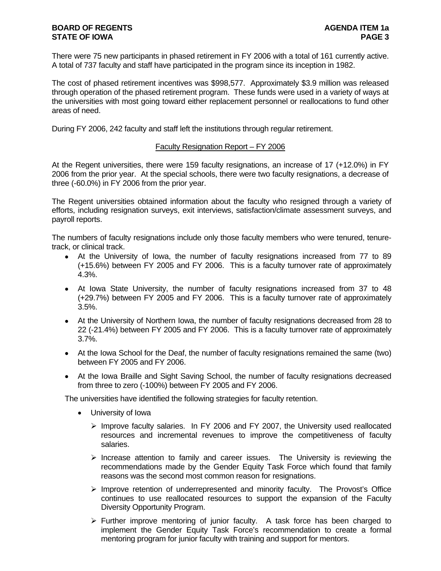There were 75 new participants in phased retirement in FY 2006 with a total of 161 currently active. A total of 737 faculty and staff have participated in the program since its inception in 1982.

The cost of phased retirement incentives was \$998,577. Approximately \$3.9 million was released through operation of the phased retirement program. These funds were used in a variety of ways at the universities with most going toward either replacement personnel or reallocations to fund other areas of need.

During FY 2006, 242 faculty and staff left the institutions through regular retirement.

#### Faculty Resignation Report – FY 2006

At the Regent universities, there were 159 faculty resignations, an increase of 17 (+12.0%) in FY 2006 from the prior year. At the special schools, there were two faculty resignations, a decrease of three (-60.0%) in FY 2006 from the prior year.

The Regent universities obtained information about the faculty who resigned through a variety of efforts, including resignation surveys, exit interviews, satisfaction/climate assessment surveys, and payroll reports.

The numbers of faculty resignations include only those faculty members who were tenured, tenuretrack, or clinical track.

- At the University of Iowa, the number of faculty resignations increased from 77 to 89 (+15.6%) between FY 2005 and FY 2006. This is a faculty turnover rate of approximately 4.3%.
- At Iowa State University, the number of faculty resignations increased from 37 to 48 (+29.7%) between FY 2005 and FY 2006. This is a faculty turnover rate of approximately 3.5%.
- At the University of Northern Iowa, the number of faculty resignations decreased from 28 to 22 (-21.4%) between FY 2005 and FY 2006. This is a faculty turnover rate of approximately 3.7%.
- At the Iowa School for the Deaf, the number of faculty resignations remained the same (two) between FY 2005 and FY 2006.
- At the Iowa Braille and Sight Saving School, the number of faculty resignations decreased from three to zero (-100%) between FY 2005 and FY 2006.

The universities have identified the following strategies for faculty retention.

- University of Iowa
	- $\triangleright$  Improve faculty salaries. In FY 2006 and FY 2007, the University used reallocated resources and incremental revenues to improve the competitiveness of faculty salaries.
	- $\triangleright$  Increase attention to family and career issues. The University is reviewing the recommendations made by the Gender Equity Task Force which found that family reasons was the second most common reason for resignations.
	- $\triangleright$  Improve retention of underrepresented and minority faculty. The Provost's Office continues to use reallocated resources to support the expansion of the Faculty Diversity Opportunity Program.
	- $\triangleright$  Further improve mentoring of junior faculty. A task force has been charged to implement the Gender Equity Task Force's recommendation to create a formal mentoring program for junior faculty with training and support for mentors.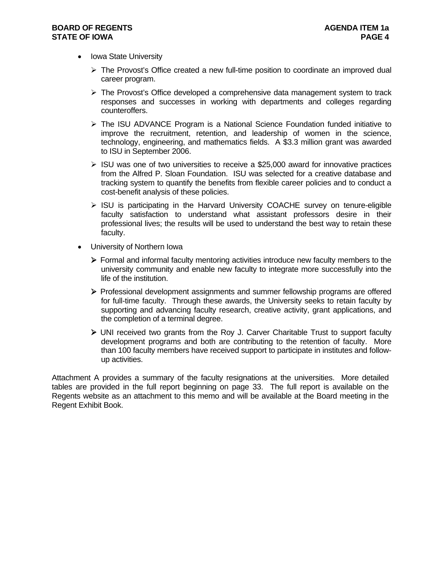- Iowa State University
	- $\triangleright$  The Provost's Office created a new full-time position to coordinate an improved dual career program.
	- $\triangleright$  The Provost's Office developed a comprehensive data management system to track responses and successes in working with departments and colleges regarding counteroffers.
	- $\triangleright$  The ISU ADVANCE Program is a National Science Foundation funded initiative to improve the recruitment, retention, and leadership of women in the science, technology, engineering, and mathematics fields. A \$3.3 million grant was awarded to ISU in September 2006.
	- $\triangleright$  ISU was one of two universities to receive a \$25,000 award for innovative practices from the Alfred P. Sloan Foundation. ISU was selected for a creative database and tracking system to quantify the benefits from flexible career policies and to conduct a cost-benefit analysis of these policies.
	- ¾ ISU is participating in the Harvard University COACHE survey on tenure-eligible faculty satisfaction to understand what assistant professors desire in their professional lives; the results will be used to understand the best way to retain these faculty.
- University of Northern Iowa
	- $\triangleright$  Formal and informal faculty mentoring activities introduce new faculty members to the university community and enable new faculty to integrate more successfully into the life of the institution.
	- ¾ Professional development assignments and summer fellowship programs are offered for full-time faculty. Through these awards, the University seeks to retain faculty by supporting and advancing faculty research, creative activity, grant applications, and the completion of a terminal degree.
	- $\triangleright$  UNI received two grants from the Roy J. Carver Charitable Trust to support faculty development programs and both are contributing to the retention of faculty. More than 100 faculty members have received support to participate in institutes and followup activities.

Attachment A provides a summary of the faculty resignations at the universities. More detailed tables are provided in the full report beginning on page 33. The full report is available on the Regents website as an attachment to this memo and will be available at the Board meeting in the Regent Exhibit Book.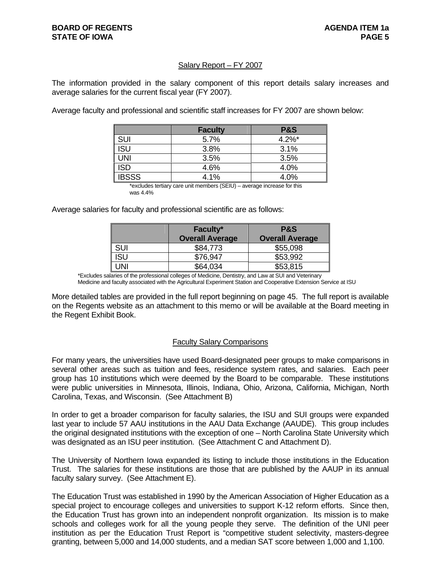#### Salary Report – FY 2007

The information provided in the salary component of this report details salary increases and average salaries for the current fiscal year (FY 2007).

Average faculty and professional and scientific staff increases for FY 2007 are shown below:

|              | <b>Faculty</b> | <b>P&amp;S</b> |
|--------------|----------------|----------------|
| <b>SUI</b>   | 5.7%           | $4.2\%$ *      |
| ISU          | 3.8%           | 3.1%           |
| UNI          | 3.5%           | 3.5%           |
| ISD          | 4.6%           | 4.0%           |
| <b>IBSSS</b> | 4.1%           | 4.0%           |

 \*excludes tertiary care unit members (SEIU) – average increase for this was 4.4%

Average salaries for faculty and professional scientific are as follows:

|            | Faculty*               | <b>P&amp;S</b>         |
|------------|------------------------|------------------------|
|            | <b>Overall Average</b> | <b>Overall Average</b> |
| <b>SUI</b> | \$84,773               | \$55,098               |
| ISU        | \$76,947               | \$53,992               |
| JNI        | \$64,034               | \$53,815               |

\*Excludes salaries of the professional colleges of Medicine, Dentistry, and Law at SUI and Veterinary

Medicine and faculty associated with the Agricultural Experiment Station and Cooperative Extension Service at ISU

More detailed tables are provided in the full report beginning on page 45. The full report is available on the Regents website as an attachment to this memo or will be available at the Board meeting in the Regent Exhibit Book.

#### Faculty Salary Comparisons

For many years, the universities have used Board-designated peer groups to make comparisons in several other areas such as tuition and fees, residence system rates, and salaries. Each peer group has 10 institutions which were deemed by the Board to be comparable. These institutions were public universities in Minnesota, Illinois, Indiana, Ohio, Arizona, California, Michigan, North Carolina, Texas, and Wisconsin. (See Attachment B)

In order to get a broader comparison for faculty salaries, the ISU and SUI groups were expanded last year to include 57 AAU institutions in the AAU Data Exchange (AAUDE). This group includes the original designated institutions with the exception of one – North Carolina State University which was designated as an ISU peer institution. (See Attachment C and Attachment D).

The University of Northern Iowa expanded its listing to include those institutions in the Education Trust. The salaries for these institutions are those that are published by the AAUP in its annual faculty salary survey. (See Attachment E).

The Education Trust was established in 1990 by the American Association of Higher Education as a special project to encourage colleges and universities to support K-12 reform efforts. Since then, the Education Trust has grown into an independent nonprofit organization. Its mission is to make schools and colleges work for all the young people they serve. The definition of the UNI peer institution as per the Education Trust Report is "competitive student selectivity, masters-degree granting, between 5,000 and 14,000 students, and a median SAT score between 1,000 and 1,100.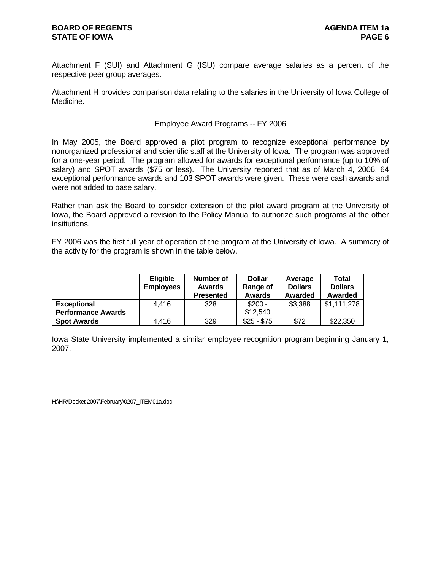Attachment F (SUI) and Attachment G (ISU) compare average salaries as a percent of the respective peer group averages.

Attachment H provides comparison data relating to the salaries in the University of Iowa College of Medicine.

#### Employee Award Programs -- FY 2006

In May 2005, the Board approved a pilot program to recognize exceptional performance by nonorganized professional and scientific staff at the University of Iowa. The program was approved for a one-year period. The program allowed for awards for exceptional performance (up to 10% of salary) and SPOT awards (\$75 or less). The University reported that as of March 4, 2006, 64 exceptional performance awards and 103 SPOT awards were given. These were cash awards and were not added to base salary.

Rather than ask the Board to consider extension of the pilot award program at the University of Iowa, the Board approved a revision to the Policy Manual to authorize such programs at the other institutions.

FY 2006 was the first full year of operation of the program at the University of Iowa. A summary of the activity for the program is shown in the table below.

|                           | <b>Eligible</b>  | Number of        | <b>Dollar</b> | Average        | Total          |
|---------------------------|------------------|------------------|---------------|----------------|----------------|
|                           | <b>Employees</b> | <b>Awards</b>    | Range of      | <b>Dollars</b> | <b>Dollars</b> |
|                           |                  | <b>Presented</b> | Awards        | Awarded        | Awarded        |
| <b>Exceptional</b>        | 4.416            | 328              | $$200 -$      | \$3,388        | \$1,111,278    |
| <b>Performance Awards</b> |                  |                  | \$12,540      |                |                |
| <b>Spot Awards</b>        | 4.416            | 329              | $$25 - $75$   | \$72           | \$22,350       |

Iowa State University implemented a similar employee recognition program beginning January 1, 2007.

H:\HR\Docket 2007\February\0207\_ITEM01a.doc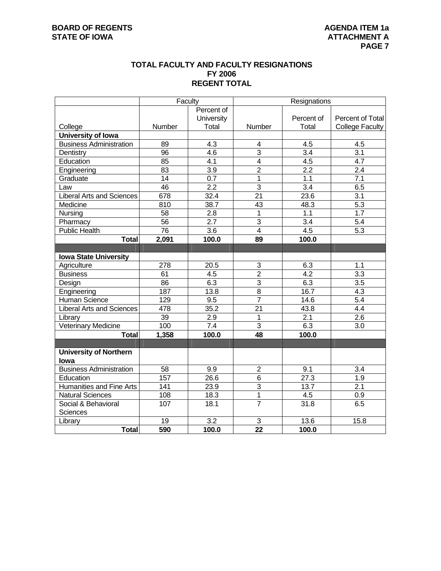#### **TOTAL FACULTY AND FACULTY RESIGNATIONS FY 2006 REGENT TOTAL**

|                                  | Faculty          |                   |                 | Resignations     |                        |
|----------------------------------|------------------|-------------------|-----------------|------------------|------------------------|
|                                  |                  | Percent of        |                 |                  |                        |
|                                  |                  | University        |                 | Percent of       | Percent of Total       |
| College                          | Number           | Total             | Number          | Total            | <b>College Faculty</b> |
| University of Iowa               |                  |                   |                 |                  |                        |
| <b>Business Administration</b>   | 89               | 4.3               | 4               | 4.5              | 4.5                    |
| Dentistry                        | 96               | 4.6               | $\overline{3}$  | 3.4              | $\overline{3.1}$       |
| Education                        | 85               | 4.1               | 4               | 4.5              | 4.7                    |
| Engineering                      | 83               | $\overline{3.9}$  | $\overline{2}$  | 2.2              | 2.4                    |
| Graduate                         | 14               | 0.7               | 1               | 1.1              | 7.1                    |
| Law                              | 46               | 2.2               | $\overline{3}$  | $\overline{3.4}$ | 6.5                    |
| <b>Liberal Arts and Sciences</b> | 678              | 32.4              | $\overline{21}$ | 23.6             | 3.1                    |
| Medicine                         | $\overline{810}$ | 38.7              | $\overline{43}$ | 48.3             | $\overline{5.3}$       |
| Nursing                          | 58               | 2.8               | 1               | 1.1              | $\overline{1.7}$       |
| Pharmacy                         | $\overline{56}$  | $\overline{2.7}$  | $\overline{3}$  | 3.4              | 5.4                    |
| <b>Public Health</b>             | 76               | $\overline{3.6}$  | $\overline{4}$  | 4.5              | 5.3                    |
| <b>Total</b>                     | 2,091            | 100.0             | 89              | 100.0            |                        |
|                                  |                  |                   |                 |                  |                        |
| <b>Iowa State University</b>     |                  |                   |                 |                  |                        |
| Agriculture                      | 278              | $\overline{20.5}$ | 3               | 6.3              | 1.1                    |
| <b>Business</b>                  | 61               | 4.5               | $\overline{2}$  | 4.2              | $\overline{3.3}$       |
| Design                           | 86               | 6.3               | 3               | 6.3              | 3.5                    |
| Engineering                      | 187              | 13.8              | $\overline{8}$  | 16.7             | 4.3                    |
| Human Science                    | 129              | 9.5               | $\overline{7}$  | 14.6             | 5.4                    |
| <b>Liberal Arts and Sciences</b> | 478              | 35.2              | $\overline{21}$ | 43.8             | 4.4                    |
| Library                          | $\overline{39}$  | $\overline{2.9}$  | $\overline{1}$  | 2.1              | $\overline{2.6}$       |
| <b>Veterinary Medicine</b>       | 100              | $\overline{7.4}$  | 3               | 6.3              | 3.0                    |
| <b>Total</b>                     | 1,358            | 100.0             | 48              | 100.0            |                        |
|                                  |                  |                   |                 |                  |                        |
| <b>University of Northern</b>    |                  |                   |                 |                  |                        |
| lowa                             |                  |                   |                 |                  |                        |
| <b>Business Administration</b>   | 58               | 9.9               | $\overline{2}$  | 9.1              | 3.4                    |
| Education                        | 157              | 26.6              | $\overline{6}$  | 27.3             | 1.9                    |
| <b>Humanities and Fine Arts</b>  | 141              | 23.9              | $\overline{3}$  | 13.7             | 2.1                    |
| <b>Natural Sciences</b>          | 108              | 18.3              | 1               | 4.5              | 0.9                    |
| Social & Behavioral              | 107              | 18.1              | $\overline{7}$  | 31.8             | 6.5                    |
| Sciences                         |                  |                   |                 |                  |                        |
| Library                          | 19               | 3.2               | $\sqrt{3}$      | 13.6             | 15.8                   |
| <b>Total</b>                     | 590              | 100.0             | $\overline{22}$ | 100.0            |                        |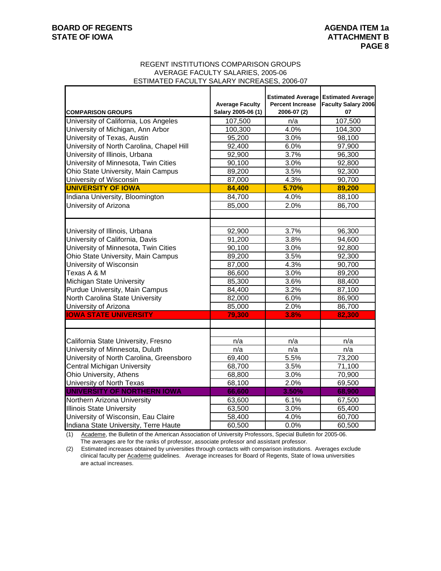#### REGENT INSTITUTIONS COMPARISON GROUPS AVERAGE FACULTY SALARIES, 2005-06 ESTIMATED FACULTY SALARY INCREASES, 2006-07

| <b>COMPARISON GROUPS</b>                  | <b>Average Faculty</b><br>Salary 2005-06 (1) | <b>Percent Increase</b><br>2006-07 (2) | <b>Estimated Average Estimated Average</b><br><b>Faculty Salary 2006</b><br>07 |
|-------------------------------------------|----------------------------------------------|----------------------------------------|--------------------------------------------------------------------------------|
| University of California, Los Angeles     | 107,500                                      | n/a                                    | 107,500                                                                        |
| University of Michigan, Ann Arbor         | 100,300                                      | 4.0%                                   | 104,300                                                                        |
| University of Texas, Austin               | 95,200                                       | 3.0%                                   | 98,100                                                                         |
| University of North Carolina, Chapel Hill | 92,400                                       | 6.0%                                   | 97,900                                                                         |
| University of Illinois, Urbana            | 92,900                                       | 3.7%                                   | 96,300                                                                         |
| University of Minnesota, Twin Cities      | 90,100                                       | 3.0%                                   | 92,800                                                                         |
| Ohio State University, Main Campus        | 89,200                                       | 3.5%                                   | 92,300                                                                         |
| University of Wisconsin                   | 87,000                                       | 4.3%                                   | 90,700                                                                         |
| <b>UNIVERSITY OF IOWA</b>                 | 84,400                                       | 5.70%                                  | 89,200                                                                         |
| Indiana University, Bloomington           | 84,700                                       | 4.0%                                   | 88,100                                                                         |
| University of Arizona                     | 85,000                                       | 2.0%                                   | 86,700                                                                         |
|                                           |                                              |                                        |                                                                                |
| University of Illinois, Urbana            | 92,900                                       | 3.7%                                   | 96,300                                                                         |
| University of California, Davis           | 91,200                                       | 3.8%                                   | 94,600                                                                         |
| University of Minnesota, Twin Cities      | 90,100                                       | 3.0%                                   | 92,800                                                                         |
| Ohio State University, Main Campus        | 89,200                                       | 3.5%                                   | 92,300                                                                         |
| University of Wisconsin                   | 87,000                                       | 4.3%                                   | 90,700                                                                         |
| Texas A & M                               | 86,600                                       | 3.0%                                   | 89,200                                                                         |
| Michigan State University                 | 85,300                                       | 3.6%                                   | 88,400                                                                         |
| Purdue University, Main Campus            | 84,400                                       | 3.2%                                   | 87,100                                                                         |
| North Carolina State University           | 82,000                                       | 6.0%                                   | 86,900                                                                         |
| University of Arizona                     | 85,000                                       | 2.0%                                   | 86,700                                                                         |
| <b>IOWA STATE UNIVERSITY</b>              | 79,300                                       | 3.8%                                   | 82,300                                                                         |
|                                           |                                              |                                        |                                                                                |
| California State University, Fresno       | n/a                                          | n/a                                    | n/a                                                                            |
| University of Minnesota, Duluth           | n/a                                          | n/a                                    | n/a                                                                            |
| University of North Carolina, Greensboro  | 69,400                                       | 5.5%                                   | 73,200                                                                         |
| Central Michigan University               | 68,700                                       | 3.5%                                   | 71,100                                                                         |
| Ohio University, Athens                   | 68,800                                       | 3.0%                                   | 70,900                                                                         |
| University of North Texas                 | 68,100                                       | 2.0%                                   | 69,500                                                                         |
| UNIVERSITY OF NORTHERN IOWA               | 66,600                                       | 3.50%                                  | 68,900                                                                         |
| Northern Arizona University               | 63,600                                       | 6.1%                                   | 67,500                                                                         |
| <b>Illinois State University</b>          | 63,500                                       | 3.0%                                   | 65,400                                                                         |
| University of Wisconsin, Eau Claire       | 58,400                                       | 4.0%                                   | 60,700                                                                         |
| Indiana State University, Terre Haute     | 60,500                                       | 0.0%                                   | 60,500                                                                         |

(1) Academe, the Bulletin of the American Association of University Professors, Special Bulletin for 2005-06. The averages are for the ranks of professor, associate professor and assistant professor.

(2) Estimated increases obtained by universities through contacts with comparison institutions. Averages exclude clinical faculty per Academe guidelines. Average increases for Board of Regents, State of Iowa universities are actual increases.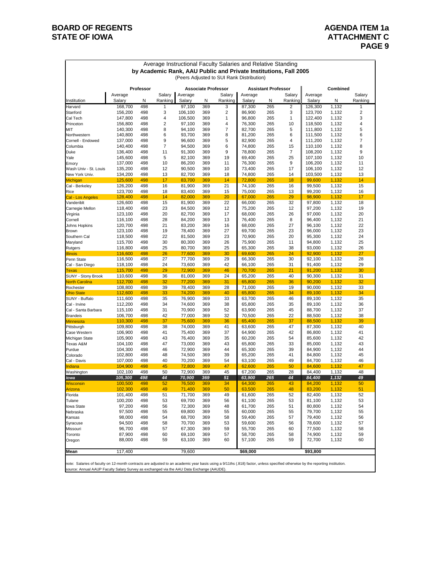# **BOARD OF REGENTS AGENUAL STATE OF IOWA**<br> **BOARD OF IOWA**<br> **BOARD OF IOWA**

## **ATTACHMENT C PAGE 9**

|                                                                  |                                         |            |          |                  |            |                         | Average Instructional Faculty Salaries and Relative Standing |                            |          |                    |                |          |  |
|------------------------------------------------------------------|-----------------------------------------|------------|----------|------------------|------------|-------------------------|--------------------------------------------------------------|----------------------------|----------|--------------------|----------------|----------|--|
| by Academic Rank, AAU Public and Private Institutions, Fall 2005 |                                         |            |          |                  |            |                         |                                                              |                            |          |                    |                |          |  |
|                                                                  |                                         |            |          |                  |            |                         | (Peers Adjusted to SUI Rank Distribution)                    |                            |          |                    |                |          |  |
|                                                                  | Professor<br><b>Associate Professor</b> |            |          |                  |            |                         |                                                              | <b>Assistant Professor</b> |          | Combined           |                |          |  |
|                                                                  | Average                                 |            | Salary   | Average          |            | Salary                  | Average                                                      |                            | Salary   | Average            |                | Salary   |  |
| Institution                                                      | Salary                                  | N          | Ranking  | Salary           | N          | Ranking                 | Salary                                                       | Ν                          | Ranking  | Salary             | N              | Ranking  |  |
| Harvard                                                          | 168,700                                 | 498        | 1        | 97,100           | 369        | 3                       | 87,300                                                       | 265                        | 2        | 126,300            | 1,132          | 1        |  |
| Stanford                                                         | 156,200                                 | 498        | 3        | 106,100          | 369        | $\overline{\mathbf{c}}$ | 86,900                                                       | 265                        | 3        | 123,700            | 1,132          | 2        |  |
| Cal Tech                                                         | 147,800                                 | 498        | 4        | 106,500          | 369        | 1                       | 96,800                                                       | 265                        | 1        | 122,400            | 1,132          | 3        |  |
| Princeton<br>MIT                                                 | 156,800<br>140,300                      | 498<br>498 | 2<br>8   | 97,100<br>94,100 | 369<br>369 | 4<br>$\overline{7}$     | 76,300<br>82,700                                             | 265<br>265                 | 10<br>5  | 118,500<br>111,800 | 1,132<br>1,132 | 4<br>5   |  |
| Northwestern                                                     | 140,800                                 | 498        | 6        | 93,700           | 369        | 8                       | 81,200                                                       | 265                        | 6        | 111,500            | 1,132          | 6        |  |
| Cornell - Endowed                                                | 137,000                                 | 498        | 9        | 96,600           | 369        | 5                       | 82,900                                                       | 265                        | 4        | 111,200            | 1,132          | 7        |  |
| Columbia                                                         | 140,400                                 | 498        | 7        | 94,500           | 369        | 6                       | 74,800                                                       | 265                        | 15       | 110,100            | 1,132          | 8        |  |
| Duke                                                             | 136,400                                 | 498        | 11       | 91,300           | 369        | 9                       | 78,800                                                       | 265                        | 7        | 108,200            | 1,132          | 9        |  |
| Yale                                                             | 145,600                                 | 498        | 5        | 82,100           | 369        | 19                      | 69,400                                                       | 265                        | 25       | 107,100            | 1,132          | 10       |  |
| Emory                                                            | 137,000                                 | 498        | 10       | 86,200           | 369        | 11                      | 76,300                                                       | 265                        | 9        | 106,200            | 1,132          | 11       |  |
| Wash Univ - St. Louis                                            | 135,200<br>134,200                      | 498<br>498 | 12       | 90,500           | 369        | 10<br>18                | 73,400<br>74,800                                             | 265<br>265                 | 17<br>14 | 106,100            | 1,132          | 12<br>13 |  |
| New York Univ.<br>Michigan                                       | 125,600                                 | 498        | 13<br>17 | 82,700<br>83,700 | 369<br>369 | 14                      | 72,800                                                       | 265                        | 18       | 103,500<br>99,600  | 1,132<br>1,132 | 14       |  |
| Cal - Berkeley                                                   | 126,200                                 | 498        | 16       | 81,900           | 369        | 21                      | 74,100                                                       | 265                        | 16       | 99,500             | 1,132          | 15       |  |
| Rice                                                             | 123,700                                 | 498        | 18       | 83,400           | 369        | 15                      | 75,000                                                       | 265                        | 13       | 99,200             | 1,132          | 16       |  |
| Cal - Los Angeles                                                | 128,400                                 | 498        | 14       | 82,000           | 369        | 20                      | 67,000                                                       | 265                        | 29       | 98,900             | 1,132          | 17       |  |
| Vanderiblt                                                       | 126,600                                 | 498        | 15       | 81,900           | 369        | 22                      | 66,000                                                       | 265                        | 32       | 97,800             | 1,132          | 18       |  |
| Carnegie Mellon                                                  | 118,400                                 | 498        | 23       | 84,500           | 369        | 12                      | 75,200                                                       | 265                        | 12       | 97,200             | 1,132          | 19       |  |
| Virginia                                                         | 123,100                                 | 498        | 20       | 82,700           | 369        | 17                      | 68,000                                                       | 265                        | 26       | 97,000             | 1,132          | 20       |  |
| Cornell                                                          | 116,100                                 | 498        | 28       | 84,200           | 369        | 13                      | 76,400                                                       | 265                        | 8        | 96,400             | 1,132          | 21       |  |
| Johns Hopkins<br>Brown                                           | 120,700<br>123,100                      | 498<br>498 | 21<br>19 | 83,200<br>78,400 | 369<br>369 | 16<br>27                | 68,000<br>69,700                                             | 265<br>265                 | 27<br>23 | 96,100<br>96,000   | 1,132<br>1,132 | 22<br>23 |  |
| Southern Cal                                                     | 118,500                                 | 498        | 22       | 81,500           | 369        | 23                      | 70,900                                                       | 265                        | 20       | 95,300             | 1,132          | 24       |  |
| Maryland                                                         | 115,700                                 | 498        | 30       | 80,300           | 369        | 26                      | 75,900                                                       | 265                        | 11       | 94,800             | 1,132          | 25       |  |
| Rutgers                                                          | 116,800                                 | 498        | 25       | 80,700           | 369        | 25                      | 65,300                                                       | 265                        | 38       | 93,000             | 1,132          | 26       |  |
| <u>Illinois</u>                                                  | 116,600                                 | 498        | 26       | 77,600           | 369        | 30                      | 69,600                                                       | 265                        | 24       | 92,900             | 1,132          | 27       |  |
| Penn State                                                       | 116,500                                 | 498        | 27       | 77,700           | 369        | 29                      | 66,300                                                       | 265                        | 30       | 92,100             | 1,132          | 28       |  |
| Cal - San Diego                                                  | 118,100                                 | 498        | 24       | 73,600           | 369        | 42                      | 66,100                                                       | 265                        | 31       | 91,400             | 1,132          | 29       |  |
| Texas<br>SUNY - Stony Brook                                      | 115,700<br>110,600                      | 498<br>498 | 29<br>36 | 72,900<br>81,000 | 369<br>369 | 46<br>24                | 70,700<br>65,200                                             | 265<br>265                 | 21<br>40 | 91,200<br>90,300   | 1,132<br>1,132 | 30<br>31 |  |
| <b>North Carolina</b>                                            | 112,700                                 | 498        | 32       | 77,200           | 369        | 31                      | 65,800                                                       | 265                        | 36       | 90,200             | 1,132          | 32       |  |
| Rochester                                                        | 108,800                                 | 498        | 39       | 78,400           | 369        | 28                      | 71,000                                                       | 265                        | 19       | 90,000             | 1,132          | 33       |  |
| <b>Ohio State</b>                                                | 112,600                                 | 498        | 33       | 74,200           | 369        | 40                      | 65,800                                                       | 265                        | 34       | 89,100             | 1,132          | 34       |  |
| SUNY - Buffalo                                                   | 111,600                                 | 498        | 35       | 76,900           | 369        | 33                      | 63,700                                                       | 265                        | 46       | 89,100             | 1,132          | 35       |  |
| Cal - Irvine                                                     | 112,200                                 | 498        | 34       | 74,600           | 369        | 38                      | 65,800                                                       | 265                        | 35       | 89,100             | 1,132          | 36       |  |
| Cal - Santa Barbara                                              | 115,100                                 | 498        | 31       | 70,900           | 369        | 52                      | 63,900                                                       | 265                        | 45       | 88,700             | 1,132          | 37       |  |
| Brandeis                                                         | 106,700                                 | 498        | 42       | 77,000           | 369        | 32                      | 70,500                                                       | 265                        | 22       | 88,500             | 1,132          | 38       |  |
| <b>Minnesota</b><br>Pittsburgh                                   | 110,300<br>109,800                      | 498<br>498 | 37<br>38 | 75,600<br>74,000 | 369<br>369 | 36<br>41                | 65,400<br>63,600                                             | 265<br>265                 | 37<br>47 | 88,500<br>87,300   | 1,132<br>1,132 | 39<br>40 |  |
| Case Western                                                     | 106,900                                 | 498        | 41       | 75,400           | 369        | 37                      | 64,900                                                       | 265                        | 42       | 86,800             | 1,132          | 41       |  |
| Michigan State                                                   | 105,900                                 | 498        | 43       | 76,400           | 369        | 35                      | 60,200                                                       | 265                        | 54       | 85,600             | 1,132          | 42       |  |
| Texas A&M                                                        | 104,100                                 | 498        | 47       | 73,000           | 369        | 43                      | 65,800                                                       | 265                        | 33       | 85,000             | 1,132          | 43       |  |
| Purdue                                                           | 104,300                                 | 498        | 46       | 72,900           | 369        | 44                      | 65,300                                                       | 265                        | 39       | 84,900             | 1,132          | 44       |  |
| Colorado                                                         | 102,800                                 | 498        | 48       | 74,500           | 369        | 39                      | 65,200                                                       | 265                        | 41       | 84,800             | 1,132          | 45       |  |
| Cal - Davis                                                      | 107,000                                 | 498        | 40       | 70,200           | 369        | 54                      | 63,100                                                       | 265                        | 49       | 84,700             | 1,132          | 46       |  |
| Indiana                                                          | 104,900<br>102,100                      | 498<br>498 | 45<br>50 | 72,800<br>72,900 | 369<br>369 | 47<br>45                | 62,600<br>67,200                                             | 265<br>265                 | 50<br>28 | 84,600<br>84,400   | 1,132<br>1,132 | 47<br>48 |  |
| Washington<br>lowa                                               | 105,300                                 | 498        | 44       | 70,900           | 369        | 51                      | 63,900                                                       | 265                        | 44       | 84,400             | 1,132          | 49       |  |
| <u>Nisconsin</u>                                                 | 100,500                                 | 498        | 52       | 76,500           | 369        | 34                      | 64,300                                                       | 265                        | 43       | 84,200             | 1,132          | 50       |  |
| Arizona                                                          | 102,300                                 | 498        | 49       | 71,400           | 369        | 50                      | 63,500                                                       | 265                        | 48       | 83,200             | 1,132          | 51       |  |
| Florida                                                          | 101,400                                 | 498        | 51       | 71,700           | 369        | 49                      | 61,600                                                       | 265                        | 52       | 82,400             | 1,132          | 52       |  |
| Tulane                                                           | 100,200                                 | 498        | 53       | 69,700           | 369        | 56                      | 61,100                                                       | 265                        | 53       | 81,100             | 1,132          | 53       |  |
| Iowa State                                                       | 97,200                                  | 498        | 56       | 72,300           | 369        | 48                      | 61,700                                                       | 265                        | 51       | 80,800             | 1,132          | 54       |  |
| Nebraska                                                         | 97,500                                  | 498        | 55       | 69,800           | 369        | 55                      | 60,000                                                       | 265                        | 55       | 79,700             | 1,132          | 55       |  |
| Kansas                                                           | 98,000                                  | 498        | 54       | 68,700           | 369        | 58                      | 59,400                                                       | 265                        | 57       | 79,400             | 1,132          | 56       |  |
| Syracuse<br>Missouri                                             | 94,500<br>96,700                        | 498<br>498 | 58<br>57 | 70,700<br>67,300 | 369<br>369 | 53<br>59                | 59,600<br>55,700                                             | 265<br>265                 | 56<br>60 | 78,600<br>77,500   | 1,132<br>1,132 | 57<br>58 |  |
| Toronto                                                          | 87,900                                  | 498        | 60       | 69,100           | 369        | 57                      | 58,700                                                       | 265                        | 58       | 74,900             | 1,132          | 59       |  |
| Oregon                                                           | 88,000                                  | 498        | 59       | 63,100           | 369        | 60                      | 57,100                                                       | 265                        | 59       | 72,700             | 1,132          | 60       |  |
|                                                                  |                                         |            |          |                  |            |                         |                                                              |                            |          |                    |                |          |  |
| Mean                                                             | 117,400                                 |            |          | 79,600           |            |                         | \$69,000                                                     |                            |          | \$93,800           |                |          |  |

note: Salaries of faculty on 12-month contracts are adjusted to an academic year basis using a 9/11ths (.818) factor, unless specified otherwise by the reporting institution.<br>source: Annual AAUP Faculty Salary Survey as ex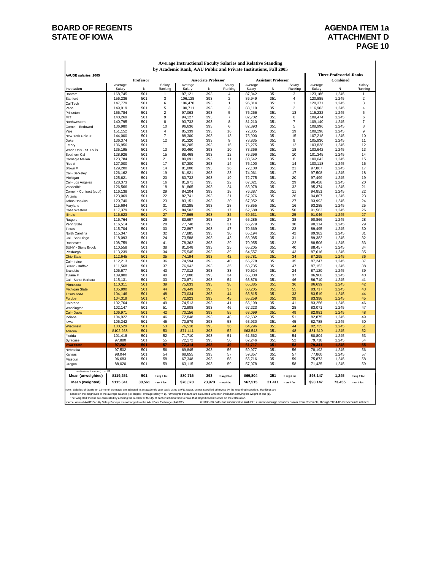#### **BOARD OF REGENTS AGENDA ITEM 1a STATE OF IOWA ATTACHMENT D**

|                                                                  |                      |            |                     | Average Instructional Faculty Salaries and Relative Standing |                            |                         |                    |                            |                   |                    |                                 |                   |  |  |
|------------------------------------------------------------------|----------------------|------------|---------------------|--------------------------------------------------------------|----------------------------|-------------------------|--------------------|----------------------------|-------------------|--------------------|---------------------------------|-------------------|--|--|
| by Academic Rank, AAU Public and Private Institutions, Fall 2005 |                      |            |                     |                                                              |                            |                         |                    |                            |                   |                    |                                 |                   |  |  |
| <b>AAUDE salaries, 2005</b>                                      |                      |            |                     |                                                              |                            |                         |                    |                            |                   |                    | <b>Three-Professorial-Ranks</b> |                   |  |  |
|                                                                  |                      | Professor  |                     |                                                              | <b>Associate Professor</b> |                         |                    | <b>Assistant Professor</b> |                   |                    | Combined                        |                   |  |  |
| Institution                                                      | Average<br>Salary    | N          | Salary<br>Ranking   | Average<br>Salary                                            | N                          | Salary<br>Ranking       | Average<br>Salary  | N                          | Salary<br>Ranking | Average<br>Salary  | N                               | Salary<br>Ranking |  |  |
| Harvard                                                          | 168,745              | 501        |                     | 97,121                                                       | 393                        | 4                       | 87,342             | 351                        | 3                 | 123,186            | 1,245                           | 1                 |  |  |
| Stanford                                                         | 156,236              | 501        | 3                   | 106,128                                                      | 393                        | $\overline{\mathbf{c}}$ | 86,949             | 351                        | $\overline{4}$    | 120,885            | 1,245                           | $\overline{2}$    |  |  |
| Cal Tech                                                         | 147,779              | 501        | 6                   | 106,470                                                      | 393                        | 1                       | 96,814             | 351                        | 1                 | 120,371            | 1,245                           | 3                 |  |  |
| Penn                                                             | 149,919              | 501        | 5                   | 100,711                                                      | 393                        | 3                       | 88,119             | 351                        | $\overline{c}$    | 116,963            | 1,245                           | 4                 |  |  |
| Princeton                                                        | 156,784<br>140,269   | 501<br>501 | $\overline{2}$<br>9 | 97,063<br>94,127                                             | 393<br>393                 | 5<br>$\overline{7}$     | 76,266<br>82,702   | 351<br>351                 | 13<br>6           | 115,232<br>109,474 | 1,245<br>1,245                  | 5<br>6            |  |  |
| MIT<br>Northwestern                                              | 140,795              | 501        | 8                   | 93,732                                                       | 393                        | 8                       | 81,210             | 351                        | $\overline{7}$    | 109,140            | 1,245                           | 7                 |  |  |
| Cornell - Endowed                                                | 136,980              | 501        | 10                  | 96,636                                                       | 393                        | 6                       | 82,893             | 351                        | 5                 | 108,996            | 1,245                           | 8                 |  |  |
| Yale                                                             | 151,152              | 501        | $\overline{4}$      | 85,339                                                       | 393                        | 16                      | 72,835             | 351                        | 19                | 108,298            | 1,245                           | 9                 |  |  |
| New York Univ. #                                                 | 144,000              | 501        | $\overline{7}$      | 88,300                                                       | 393                        | 13                      | 75,900             | 351                        | 15                | 107,218            | 1,245                           | 10                |  |  |
| Duke                                                             | 136,374              | 501        | 12                  | 91,320                                                       | 393                        | 9                       | 78,835             | 351                        | 9                 | 105,930            | 1,245                           | 11                |  |  |
| Emory                                                            | 136,956              | 501        | 11                  | 86,205                                                       | 393                        | 15                      | 76,275             | 351                        | 12                | 103,828            | 1.245                           | 12                |  |  |
| Wash Univ - St. Louis                                            | 135,195              | 501        | 13                  | 90,460                                                       | 393                        | 10                      | 73,366             | 351                        | 18                | 103,642            | 1,245                           | 13                |  |  |
| Southern Cal<br>Carnegie Mellon                                  | 128,926<br>123,784   | 501<br>501 | 15<br>21            | 88,468<br>89,091                                             | 393<br>393                 | 12<br>11                | 76,396<br>80,542   | 351<br>351                 | 10<br>8           | 101,345<br>100,642 | 1,245<br>1,245                  | 14<br>15          |  |  |
| Rice #                                                           | 127,000              | 501        | 17                  | 87,300                                                       | 393                        | 14                      | 76.100             | 351                        | 14                | 100.118            | 1.245                           | 16                |  |  |
| Brown #                                                          | 129,200              | 501        | 14                  | 81,000                                                       | 393                        | 26                      | 72,100             | 351                        | 21                | 97,887             | 1,245                           | 17                |  |  |
| Cal - Berkeley                                                   | 126,162              | 501        | 19                  | 81,921                                                       | 393                        | 23                      | 74,061             | 351                        | 17                | 97,508             | 1,245                           | 18                |  |  |
| Michigan                                                         | 125,621              | 501        | 20                  | 83,732                                                       | 393                        | 19                      | 72,775             | 351                        | 20                | 97,499             | 1,245                           | 19                |  |  |
| Cal - Los Angeles                                                | 128,373              | 501        | 16                  | 81,971                                                       | 393                        | 22                      | 67,021             | 351                        | 29                | 96,428             | 1,245                           | 20                |  |  |
| Vanderibit                                                       | 126,566              | 501        | 18                  | 81,865                                                       | 393                        | 24                      | 65,978             | 351                        | 32                | 95,374             | 1,245                           | 21                |  |  |
| Cornell - Contract (publ)                                        | 116,138              | 501        | 29                  | 84,204                                                       | 393                        | 18                      | 76,387             | 351                        | 11                | 94,851             | 1,245                           | 22                |  |  |
| Virginia                                                         | 123,069              | 501        | 22                  | 82,741                                                       | 393                        | 21                      | 67,976             | 351                        | 26                | 94,807             | 1,245                           | 23                |  |  |
| Johns Hopkins<br>Maryland                                        | 120,740<br>115,694   | 501<br>501 | 23<br>31            | 83,151<br>80,285                                             | 393<br>393                 | 20<br>28                | 67,952<br>75,855   | 351<br>351                 | 27<br>16          | 93,992<br>93,285   | 1,245<br>1,245                  | 24<br>25          |  |  |
| Case Western                                                     | 117,379              | 501        | 25                  | 84,502                                                       | 393                        | 17                      | 62,688             | 351                        | 50                | 91,582             | 1,245                           | 26                |  |  |
| <b>Illinois</b>                                                  | 116,623              | 501        | 27                  | 77,565                                                       | 393                        | 32                      | 69,631             | 351                        | 25                | 91,046             | 1,245                           | 27                |  |  |
| Rutgers                                                          | 116,764              | 501        | 26                  | 80,697                                                       | 393                        | 27                      | 65,285             | 351                        | 38                | 90,866             | 1,245                           | 28                |  |  |
| Penn State                                                       | 116,514              | 501        | 28                  | 77,748                                                       | 393                        | 31                      | 66,279             | 351                        | 30                | 90,114             | 1,245                           | 29                |  |  |
| Texas                                                            | 115,704              | 501        | 30                  | 72,897                                                       | 393                        | 47                      | 70,669             | 351                        | 23                | 89,495             | 1,245                           | 30                |  |  |
| North Carolina                                                   | 115,347              | 501        | 32                  | 77,885                                                       | 393                        | 30                      | 65,194             | 351                        | 42                | 89,382             | 1,245                           | 31                |  |  |
| Cal - San Diego                                                  | 118,093              | 501        | 24                  | 73,588                                                       | 393                        | 43                      | 66,085             | 351                        | 31                | 89,382             | 1,245                           | 32                |  |  |
| Rochester<br>SUNY - Stony Brook                                  | 108,759<br>110,558   | 501<br>501 | 41<br>38            | 78.362<br>81,048                                             | 393<br>393                 | 29<br>25                | 70,955<br>65,205   | 351<br>351                 | 22<br>40          | 88,506<br>88,457   | 1,245<br>1,245                  | 33<br>34          |  |  |
| Pittsburgh                                                       | 113,239              | 501        | 34                  | 75,545                                                       | 393                        | 39                      | 64,557             | 351                        | 43                | 87,616             | 1,245                           | 35                |  |  |
| <b>Ohio State</b>                                                | 112,645              | 501        | 35                  | 74,194                                                       | 393                        | 42                      | 65,781             | 351                        | 34                | 87,295             | 1,245                           | 36                |  |  |
| Cal - Irvine                                                     | 112,213              | 501        | 36                  | 74,594                                                       | 393                        | 40                      | 65,778             | 351                        | 35                | 87,247             | 1,245                           | 37                |  |  |
| SUNY - Buffalo                                                   | 111,568              | 501        | 37                  | 76,942                                                       | 393                        | 35                      | 63,735             | 351                        | 47                | 87,152             | 1,245                           | 38                |  |  |
| Brandeis                                                         | 106,677              | 501        | 43                  | 77,012                                                       | 393                        | 33                      | 70,524             | 351                        | 24                | 87,120             | 1,245                           | 39                |  |  |
| Tulane #                                                         | 109,800              | 501        | 40                  | 77,000                                                       | 393                        | 34                      | 65,300             | 351                        | 37                | 86,900             | 1,245                           | 40                |  |  |
| Cal - Santa Barbara                                              | 115,131              | 501        | 33                  | 70,871                                                       | 393                        | 54                      | 63,876             | 351                        | 46                | 86,710             | 1,245                           | 41                |  |  |
| Minnesota                                                        | 110,311<br>105,890   | 501<br>501 | 39<br>44            | 75,633<br>76,449                                             | 393<br>393                 | 38<br>37                | 65,385<br>60,205   | 351<br>351                 | 36<br>55          | 86,699<br>83,717   | 1,245<br>1,245                  | 42<br>43          |  |  |
| <b>Michigan State</b><br><b>Texas A&amp;M</b>                    | 104,146              | 501        | 48                  | 73,034                                                       | 393                        | 44                      | 65,815             | 351                        | 33                | 83,519             | 1,245                           | 44                |  |  |
| Purdue                                                           | 104,319              | 501        | 47                  | 72,923                                                       | 393                        | 45                      | 65,259             | 351                        | 39                | 83,396             | 1,245                           | 45                |  |  |
| Colorado                                                         | 102,764              | 501        | 49                  | 74,513                                                       | 393                        | 41                      | 65,199             | 351                        | 41                | 83,256             | 1,245                           | 46                |  |  |
| Washington                                                       | 102,147              | 501        | 51                  | 72,908                                                       | 393                        | 46                      | 67,223             | 351                        | 28                | 83,071             | 1,245                           | 47                |  |  |
| Cal - Davis                                                      | 106,971              | 501        | 42                  | 70,156                                                       | 393                        | 55                      | 63,099             | 351                        | 49                | 82,981             | 1,245                           | 48                |  |  |
| Indiana                                                          | 104,922              | 501        | 46                  | 72,848                                                       | 393                        | 48                      | 62,632             | 351                        | 51                | 82,875             | 1,245                           | 49                |  |  |
| lowa                                                             | 105,342              | 501        | 45                  | 70,879                                                       | 393                        | 53                      | 63,930             | 351                        | 45                | 82,788             | 1,245                           | 50                |  |  |
| Wisconsin<br>Arizona                                             | 100,529<br>\$102,268 | 501<br>501 | 53<br>50            | 76,518<br>\$71,441                                           | 393<br>393                 | 36<br>52                | 64,296<br>\$63,543 | 351<br>351                 | 44<br>48          | 82,735<br>\$81,619 | 1,245<br>1,245                  | 51<br>52          |  |  |
| Florida                                                          | 101,418              | 501        | 52                  | 71,710                                                       | 393                        | 51                      | 61,562             | 351                        | 54                | 80,804             | 1,245                           | 53                |  |  |
| Syracuse                                                         | 97,880               | 501        | 55                  | 72,172                                                       | 393                        | 50                      | 62,246             | 351                        | 52                | 79,718             | 1,245                           | 54                |  |  |
| owa State                                                        | 97 202               | 501        | 57                  | 72314                                                        | 393                        | 49                      | 61.717             | 351                        | 53                | 79 341             | 1.245                           | 55                |  |  |
| Nebraska                                                         | 97,502               | 501        | 56                  | 69,845                                                       | 393                        | 56                      | 59,977             | 351                        | 56                | 78,192             | 1,245                           | 56                |  |  |
| Kansas                                                           | 98.044               | 501        | 54                  | 68.655                                                       | 393                        | 57                      | 59,357             | 351                        | 57                | 77.860             | 1,245                           | 57                |  |  |
| Missouri                                                         | 96,683               | 501        | 58                  | 67,348                                                       | 393                        | 58                      | 55,716             | 351                        | 59                | 75,873             | 1,245                           | 58                |  |  |
| Oregon                                                           | 88,020               | 501        | 59                  | 63,115                                                       | 393                        | 59                      | 57,078             | 351                        | 58                | 71,435             | 1,245                           | 59                |  |  |
| institutions included, $n = 59$<br>Mean (unweighted)             | \$119,251            | 501        | $=$ avg # fac       | \$80,716                                                     | 393                        | $=$ avg # fac           | \$69,804           | 351                        | $=$ avg # fac     | \$93,147           | 1,245                           | $=$ avg # fac     |  |  |
| Mean (weighted)                                                  | \$115,341            | 30,561     | $=$ tot # fac       | \$78,070                                                     | 23,973                     | $=$ tot # fac           | \$67,515           | 21,411                     | $=$ tot # fac     | \$93,147           | 73,455                          | $=$ tot # fac     |  |  |

note: Salaries of faculty on 12-month contracts are adjusted to an academic year basis using a 9/11 factor, unless pecified otherwise by the reporting institution. Rankings are by selection the magnity institution carryin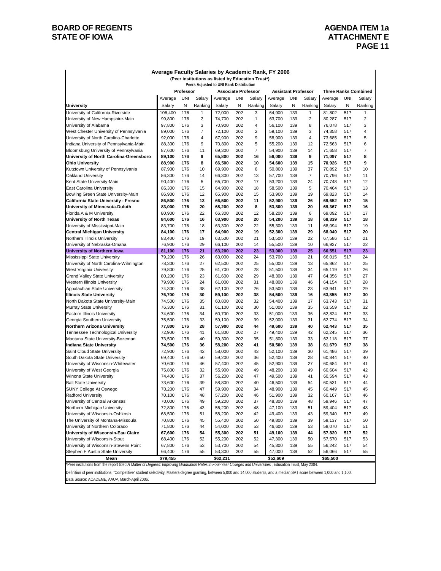#### **BOARD OF REGENTS BOARD OF REGENTS STATE OF IOWA** ATTACHMENT E

| Average Faculty Salaries by Academic Rank, FY 2006                                                   |                  |            |          |                  |            |                |                  |            |                |                  |            |                         |
|------------------------------------------------------------------------------------------------------|------------------|------------|----------|------------------|------------|----------------|------------------|------------|----------------|------------------|------------|-------------------------|
| (Peer institutions as listed by Education Trust*)<br>Peers Adjusted to UNI Rank Distribution         |                  |            |          |                  |            |                |                  |            |                |                  |            |                         |
| Professor<br><b>Three Ranks Combined</b><br><b>Associate Professor</b><br><b>Assistant Professor</b> |                  |            |          |                  |            |                |                  |            |                |                  |            |                         |
|                                                                                                      | Average          | UNI        | Salary   | Average          | <b>UNI</b> | Salary         | Average          | <b>UNI</b> | Salary         | Average          | <b>UNI</b> | Salary                  |
| University                                                                                           | Salary           | Ν          | Ranking  | Salary           | Ν          | Ranking        | Salary           | Ν          | Ranking        | Salary           | Ν          | Ranking                 |
| University of California-Riverside                                                                   | 106,400          | 176        | 1        | 72,000           | 202        | 3              | 64,900           | 139        | $\mathbf{1}$   | 81,802           | 517        | 1                       |
| University of New Hampshire-Main                                                                     | 99,800           | 176        | 2        | 74,700           | 202        | 1              | 63,700           | 139        | 2              | 80,287           | 517        | $\overline{\mathbf{c}}$ |
| University of Alabama                                                                                | 97,800           | 176        | 3        | 70,900           | 202        | 4              | 56,100           | 139        | 8              | 76,078           | 517        | 3                       |
| West Chester University of Pennsylvania                                                              | 89,000           | 176        | 7        | 72,100           | 202        | $\overline{2}$ | 59,100           | 139        | 3              | 74,358           | 517        | 4                       |
| University of North Carolina-Charlotte                                                               | 92,000           | 176        | 4        | 67,900           | 202        | 9              | 58,900           | 139        | $\overline{4}$ | 73,685           | 517        | 5                       |
| Indiana University of Pennsylvania-Main                                                              | 88,300           | 176        | 9        | 70,800           | 202        | 5              | 55,200           | 139        | 12             | 72,563           | 517        | 6                       |
| Bloomsburg University of Pennsylvania                                                                | 87,600           | 176        | 11       | 69,300           | 202        | $\overline{7}$ | 54,900           | 139        | 14             | 71,658           | 517        | 7                       |
| University of North Carolina-Greensboro                                                              | 89,100           | 176        | 6        | 65,800           | 202        | 16             | 56,000           | 139        | 9              | 71,097           | 517        | 8                       |
| <b>Ohio University</b>                                                                               | 88,900           | 176        | 8        | 66,500           | 202        | 10             | 54,600           | 139        | 15             | 70,926           | 517        | 9                       |
| Kutztown University of Pennsylvania                                                                  | 87,900           | 176        | 10       | 69,900           | 202        | 6              | 50,800           | 139        | 37             | 70,892           | 517        | 10                      |
| Oakland University                                                                                   | 86,300           | 176        | 14       | 66,300           | 202        | 13             | 57,700           | 139        | 7              | 70,796           | 517        | 11                      |
| Kent State University-Main                                                                           | 90,400           | 176        | 5        | 65,700           | 202        | 17             | 53,200           | 139        | 24             | 70,748           | 517        | 12                      |
| <b>East Carolina University</b>                                                                      | 86,300           | 176        | 15       | 64,900           | 202        | 18             | 58,500           | 139        | 5              | 70,464           | 517        | 13                      |
| Bowling Green State University-Main                                                                  | 86,900           | 176        | 12       | 65,900           | 202        | 15             | 53,900           | 139        | 19             | 69,823           | 517        | 14                      |
| California State University - Fresno                                                                 | 86,500           | 176        | 13       | 66,500           | 202        | 11             | 52,900           | 139        | 26             | 69,652           | 517        | 15                      |
| University of Minnesota-Duluth                                                                       | 83,000           | 176        | 20       | 68,200           | 202        | 8              | 53,800           | 139        | 20             | 69,367           | 517        | 16                      |
| Florida A & M University                                                                             | 80,900           | 176        | 22       | 66,300           | 202        | 12             | 58,200           | 139        | 6              | 69,092           | 517        | 17                      |
| University of North Texas                                                                            | 84,600           | 176        | 16       | 63,900           | 202        | 20             | 54,200           | 139        | 18             | 68,339           | 517        | 18                      |
| University of Mississippi-Main                                                                       | 83,700           | 176        | 18       | 63,300           | 202        | 22             | 55,300           | 139        | 11             | 68,094           | 517        | 19                      |
| Central Michigan University<br>Northern Illinois University                                          | 84,100           | 176<br>176 | 17<br>19 | 64,900<br>63,500 | 202<br>202 | 19<br>21       | 52,300           | 139<br>139 | 29<br>22       | 68,049<br>67,586 | 517<br>517 | 20<br>21                |
| University of Nebraska-Omaha                                                                         | 83,400<br>76,900 | 176        | 29       | 66,100           | 202        | 14             | 53,500<br>55,500 | 139        | 10             | 66,927           | 517        | 22                      |
| University of Northern Iowa                                                                          | 81,100           | 176        | 21       | 63,200           | 202        | 23             | 53,000           | 139        | 25             | 66,551           | 517        | 23                      |
| Mississippi State University                                                                         | 79,200           | 176        | 26       | 63,000           | 202        | 24             | 53,700           | 139        | 21             | 66,015           | 517        | 24                      |
| University of North Carolina-Wilmington                                                              | 78,300           | 176        | 27       | 62,500           | 202        | 25             | 55,000           | 139        | 13             | 65,862           | 517        | 25                      |
| West Virginia University                                                                             | 79,800           | 176        | 25       | 61,700           | 202        | 28             | 51,500           | 139        | 34             | 65,119           | 517        | 26                      |
| <b>Grand Valley State University</b>                                                                 | 80,200           | 176        | 23       | 61,600           | 202        | 29             | 48,300           | 139        | 47             | 64,356           | 517        | 27                      |
| Western Illinois University                                                                          | 79,900           | 176        | 24       | 61,000           | 202        | 31             | 48,800           | 139        | 46             | 64,154           | 517        | 28                      |
| Appalachian State University                                                                         | 74,300           | 176        | 38       | 62,100           | 202        | 26             | 53,500           | 139        | 23             | 63,941           | 517        | 29                      |
| <b>Illinois State University</b>                                                                     | 76,700           | 176        | 30       | 59,100           | 202        | 38             | 54,500           | 139        | 16             | 63,855           | 517        | 30                      |
| North Dakota State University-Main                                                                   | 74,500           | 176        | 35       | 60,800           | 202        | 32             | 54,400           | 139        | 17             | 63,743           | 517        | 31                      |
| Murray State University                                                                              | 76,300           | 176        | 31       | 61,100           | 202        | 30             | 51,000           | 139        | 35             | 63,559           | 517        | 32                      |
| Eastern Illinois University                                                                          | 74,600           | 176        | 34       | 60,700           | 202        | 33             | 51,000           | 139        | 36             | 62,824           | 517        | 33                      |
| Georgia Southern University                                                                          | 75,500           | 176        | 33       | 59,100           | 202        | 39             | 52,000           | 139        | 31             | 62,774           | 517        | 34                      |
| Northern Arizona University                                                                          | 77,800           | 176        | 28       | 57,900           | 202        | 44             | 49,600           | 139        | 40             | 62,443           | 517        | 35                      |
| Tennessee Technological University                                                                   | 72,900           | 176        | 41       | 61,800           | 202        | 27             | 49,400           | 139        | 42             | 62,245           | 517        | 36                      |
| Montana State University-Bozeman                                                                     | 73,500           | 176        | 40       | 59,300           | 202        | 35             | 51,800           | 139        | 33             | 62,118           | 517        | 37                      |
| <b>Indiana State University</b>                                                                      | 74,500<br>72,900 | 176<br>176 | 36<br>42 | 58,200<br>58,000 | 202<br>202 | 41<br>43       | 50,500<br>52,100 | 139<br>139 | 38<br>30       | 61,679<br>61,486 | 517<br>517 | 38<br>39                |
| Saint Cloud State University<br>South Dakota State University                                        | 69,400           | 176        | 50       | 59,200           | 202        | 36             | 52,400           | 139        | 28             | 60,844           | 517        | 40                      |
| University of Wisconsin-Whitewater                                                                   | 70,600           | 176        | 46       | 57,400           | 202        | 45             | 52,900           | 139        | 27             | 60,684           | 517        | 41                      |
| University of West Georgia                                                                           | 75,800           | 176        | 32       | 55,900           | 202        | 49             | 48,200           | 139        | 49             | 60,604           | 517        | 42                      |
| Winona State University                                                                              | 74,400           | 176        | 37       | 56,200           | 202        | 47             | 49,500           | 139        | 41             | 60,594           | 517        | 43                      |
| <b>Ball State University</b>                                                                         | 73,600           | 176        | 39       | 58,800           | 202        | 40             | 46,500           | 139        | 54             | 60,531           | 517        | 44                      |
| <b>SUNY College At Oswego</b>                                                                        | 70,200           | 176        | 47       | 59,900           | 202        | 34             | 48,900           | 139        | 45             | 60,449           | 517        | 45                      |
| Radford University                                                                                   | 70,100           | 176        | 48       | 57,200           | 202        | 46             | 51,900           | 139        | 32             | 60,167           | 517        | 46                      |
| University of Central Arkansas                                                                       | 70,000           | 176        | 49       | 59,200           | 202        | 37             | 48,300           | 139        | 48             | 59,946           | 517        | 47                      |
| Northern Michigan University                                                                         | 72,800           | 176        | 43       | 56,200           | 202        | 48             | 47,100           | 139        | 51             | 59,404           | 517        | 48                      |
| University of Wisconsin-Oshkosh                                                                      | 68,500           | 176        | 51       | 58,200           | 202        | 42             | 49,400           | 139        | 43             | 59,340           | 517        | 49                      |
| The University of Montana-Missoula                                                                   | 70,800           | 176        | 45       | 55,400           | 202        | 50             | 49,800           | 139        | 39             | 59,137           | 517        | 50                      |
| University of Northern Colorado                                                                      | 71,800           | 176        | 44       | 54,000           | 202        | 53             | 46,600           | 139        | 53             | 58,070           | 517        | 51                      |
| University of Wisconsin-Eau Claire                                                                   | 67,600           | 176        | 54       | 55,300           | 202        | 51             | 49,100           | 139        | 44             | 57,820           | 517        | 52                      |
| University of Wisconsin-Stout                                                                        | 68,400           | 176        | 52       | 55,200           | 202        | 52             | 47,300           | 139        | 50             | 57,570           | 517        | 53                      |
| University of Wisconsin-Stevens Point                                                                | 67,800           | 176        | 53       | 53,700           | 202        | 54             | 45,300           | 139        | 55             | 56,242           | 517        | 54                      |
| Stephen F Austin State University                                                                    | 66,400           | 176        | 55       | 53,300           | 202        | 55             | 47,000           | 139        | 52             | 56,066           | 517        | 55                      |
| Mean                                                                                                 | \$79,455         |            |          | \$62,211         |            |                | \$52,609         |            |                | \$65,500         |            |                         |

\*Peer institutions from the report titled *A Matter of Degrees: Improving Graduation Rates in Four-Year Colleges and Universities* , Education Trust, May 2004.

Definition of peer institutions: "Competitive" student selectivity, Masters-degree granting, between 5,000 and 14,000 students, and a median SAT score between 1,000 and 1,100. Data Source: ACADEME, AAUP, March-April 2006.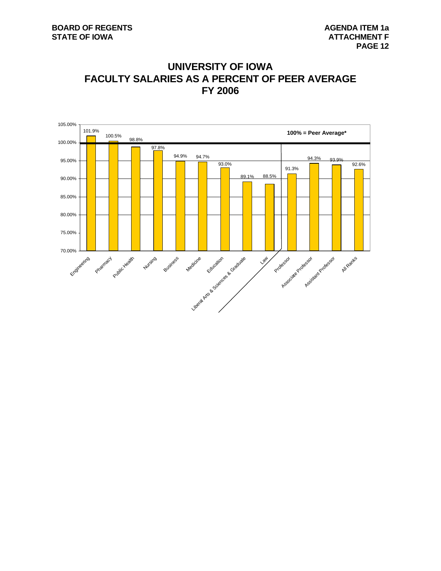### **UNIVERSITY OF IOWA FACULTY SALARIES AS A PERCENT OF PEER AVERAGE FY 2006**

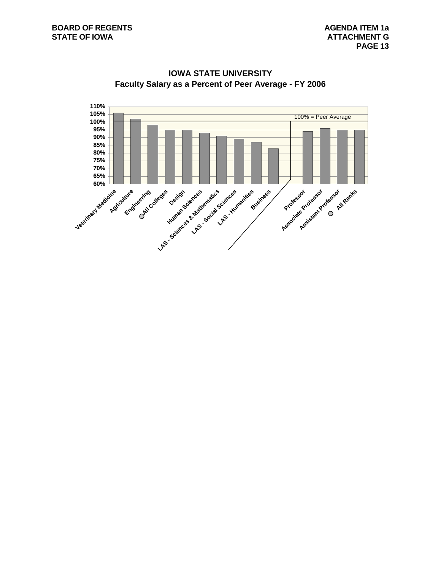

**IOWA STATE UNIVERSITY Faculty Salary as a Percent of Peer Average - FY 2006**